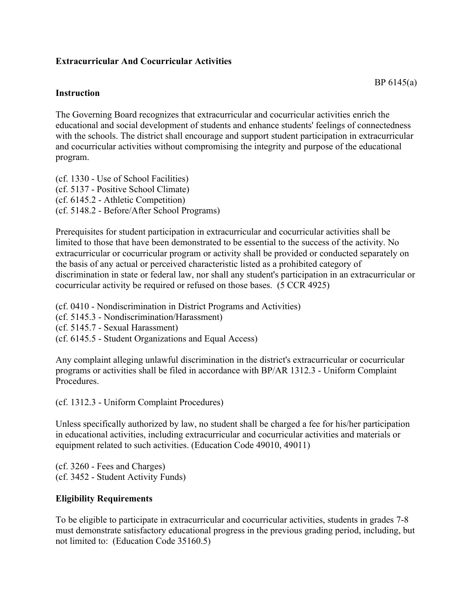### **Extracurricular And Cocurricular Activities**

### **Instruction**

The Governing Board recognizes that extracurricular and cocurricular activities enrich the educational and social development of students and enhance students' feelings of connectedness with the schools. The district shall encourage and support student participation in extracurricular and cocurricular activities without compromising the integrity and purpose of the educational program.

(cf. 1330 - Use of School Facilities) (cf. 5137 - Positive School Climate) (cf. 6145.2 - Athletic Competition) (cf. 5148.2 - Before/After School Programs)

Prerequisites for student participation in extracurricular and cocurricular activities shall be limited to those that have been demonstrated to be essential to the success of the activity. No extracurricular or cocurricular program or activity shall be provided or conducted separately on the basis of any actual or perceived characteristic listed as a prohibited category of discrimination in state or federal law, nor shall any student's participation in an extracurricular or cocurricular activity be required or refused on those bases. (5 CCR 4925)

(cf. 0410 - Nondiscrimination in District Programs and Activities)

(cf. 5145.3 - Nondiscrimination/Harassment)

(cf. 5145.7 - Sexual Harassment)

(cf. 6145.5 - Student Organizations and Equal Access)

Any complaint alleging unlawful discrimination in the district's extracurricular or cocurricular programs or activities shall be filed in accordance with BP/AR 1312.3 - Uniform Complaint **Procedures** 

(cf. 1312.3 - Uniform Complaint Procedures)

Unless specifically authorized by law, no student shall be charged a fee for his/her participation in educational activities, including extracurricular and cocurricular activities and materials or equipment related to such activities. (Education Code 49010, 49011)

(cf. 3260 - Fees and Charges) (cf. 3452 - Student Activity Funds)

#### **Eligibility Requirements**

To be eligible to participate in extracurricular and cocurricular activities, students in grades 7-8 must demonstrate satisfactory educational progress in the previous grading period, including, but not limited to: (Education Code 35160.5)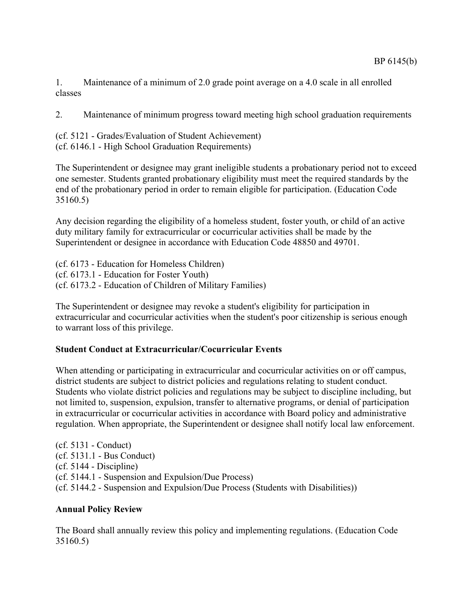1. Maintenance of a minimum of 2.0 grade point average on a 4.0 scale in all enrolled classes

2. Maintenance of minimum progress toward meeting high school graduation requirements

(cf. 5121 - Grades/Evaluation of Student Achievement) (cf. 6146.1 - High School Graduation Requirements)

The Superintendent or designee may grant ineligible students a probationary period not to exceed one semester. Students granted probationary eligibility must meet the required standards by the end of the probationary period in order to remain eligible for participation. (Education Code 35160.5)

Any decision regarding the eligibility of a homeless student, foster youth, or child of an active duty military family for extracurricular or cocurricular activities shall be made by the Superintendent or designee in accordance with Education Code 48850 and 49701.

(cf. 6173 - Education for Homeless Children) (cf. 6173.1 - Education for Foster Youth) (cf. 6173.2 - Education of Children of Military Families)

The Superintendent or designee may revoke a student's eligibility for participation in extracurricular and cocurricular activities when the student's poor citizenship is serious enough to warrant loss of this privilege.

# **Student Conduct at Extracurricular/Cocurricular Events**

When attending or participating in extracurricular and cocurricular activities on or off campus, district students are subject to district policies and regulations relating to student conduct. Students who violate district policies and regulations may be subject to discipline including, but not limited to, suspension, expulsion, transfer to alternative programs, or denial of participation in extracurricular or cocurricular activities in accordance with Board policy and administrative regulation. When appropriate, the Superintendent or designee shall notify local law enforcement.

(cf. 5131 - Conduct) (cf. 5131.1 - Bus Conduct) (cf. 5144 - Discipline) (cf. 5144.1 - Suspension and Expulsion/Due Process) (cf. 5144.2 - Suspension and Expulsion/Due Process (Students with Disabilities))

# **Annual Policy Review**

The Board shall annually review this policy and implementing regulations. (Education Code 35160.5)